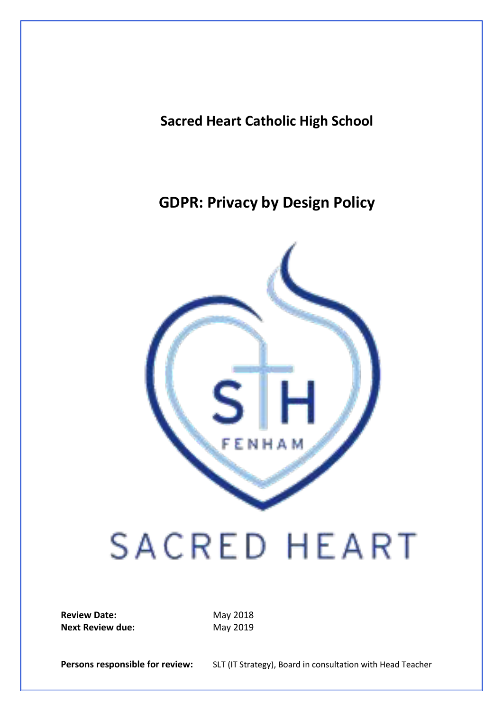**Sacred Heart Catholic High School**

**GDPR: Privacy by Design Policy**



# **SACRED HEART**

**Review Date:** May 2018 **Next Review due:** May 2019

Persons responsible for review: SLT (IT Strategy), Board in consultation with Head Teacher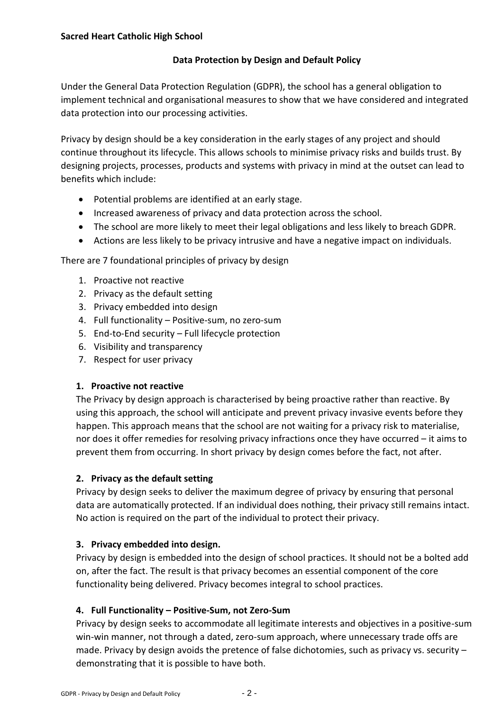# **Data Protection by Design and Default Policy**

Under the General Data Protection Regulation (GDPR), the school has a general obligation to implement technical and organisational measures to show that we have considered and integrated data protection into our processing activities.

Privacy by design should be a key consideration in the early stages of any project and should continue throughout its lifecycle. This allows schools to minimise privacy risks and builds trust. By designing projects, processes, products and systems with privacy in mind at the outset can lead to benefits which include:

- Potential problems are identified at an early stage.
- Increased awareness of privacy and data protection across the school.
- The school are more likely to meet their legal obligations and less likely to breach GDPR.
- Actions are less likely to be privacy intrusive and have a negative impact on individuals.

There are 7 foundational principles of privacy by design

- 1. Proactive not reactive
- 2. Privacy as the default setting
- 3. Privacy embedded into design
- 4. Full functionality Positive-sum, no zero-sum
- 5. End-to-End security Full lifecycle protection
- 6. Visibility and transparency
- 7. Respect for user privacy

## **1. Proactive not reactive**

The Privacy by design approach is characterised by being proactive rather than reactive. By using this approach, the school will anticipate and prevent privacy invasive events before they happen. This approach means that the school are not waiting for a privacy risk to materialise, nor does it offer remedies for resolving privacy infractions once they have occurred – it aims to prevent them from occurring. In short privacy by design comes before the fact, not after.

## **2. Privacy as the default setting**

Privacy by design seeks to deliver the maximum degree of privacy by ensuring that personal data are automatically protected. If an individual does nothing, their privacy still remains intact. No action is required on the part of the individual to protect their privacy.

## **3. Privacy embedded into design.**

Privacy by design is embedded into the design of school practices. It should not be a bolted add on, after the fact. The result is that privacy becomes an essential component of the core functionality being delivered. Privacy becomes integral to school practices.

## **4. Full Functionality – Positive-Sum, not Zero-Sum**

Privacy by design seeks to accommodate all legitimate interests and objectives in a positive-sum win-win manner, not through a dated, zero-sum approach, where unnecessary trade offs are made. Privacy by design avoids the pretence of false dichotomies, such as privacy vs. security – demonstrating that it is possible to have both.